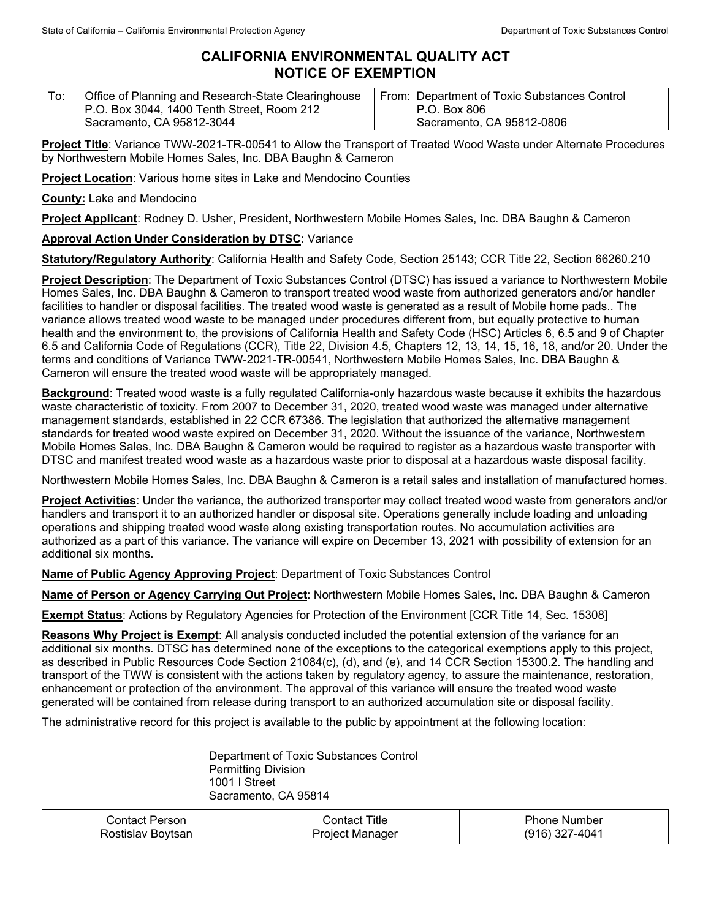## **CALIFORNIA ENVIRONMENTAL QUALITY ACT NOTICE OF EXEMPTION**

| To: | Office of Planning and Research-State Clearinghouse | From: Department of Toxic Substances Control |
|-----|-----------------------------------------------------|----------------------------------------------|
|     | P.O. Box 3044, 1400 Tenth Street, Room 212          | P.O. Box 806                                 |
|     | Sacramento, CA 95812-3044                           | Sacramento, CA 95812-0806                    |

**Project Title**: Variance TWW-2021-TR-00541 to Allow the Transport of Treated Wood Waste under Alternate Procedures by Northwestern Mobile Homes Sales, Inc. DBA Baughn & Cameron

**Project Location**: Various home sites in Lake and Mendocino Counties

**County:** Lake and Mendocino

**Project Applicant**: Rodney D. Usher, President, Northwestern Mobile Homes Sales, Inc. DBA Baughn & Cameron

## **Approval Action Under Consideration by DTSC**: Variance

**Statutory/Regulatory Authority**: California Health and Safety Code, Section 25143; CCR Title 22, Section 66260.210

**Project Description**: The Department of Toxic Substances Control (DTSC) has issued a variance to Northwestern Mobile Homes Sales, Inc. DBA Baughn & Cameron to transport treated wood waste from authorized generators and/or handler facilities to handler or disposal facilities. The treated wood waste is generated as a result of Mobile home pads.. The variance allows treated wood waste to be managed under procedures different from, but equally protective to human health and the environment to, the provisions of California Health and Safety Code (HSC) Articles 6, 6.5 and 9 of Chapter 6.5 and California Code of Regulations (CCR), Title 22, Division 4.5, Chapters 12, 13, 14, 15, 16, 18, and/or 20. Under the terms and conditions of Variance TWW-2021-TR-00541, Northwestern Mobile Homes Sales, Inc. DBA Baughn & Cameron will ensure the treated wood waste will be appropriately managed.

**Background**: Treated wood waste is a fully regulated California-only hazardous waste because it exhibits the hazardous waste characteristic of toxicity. From 2007 to December 31, 2020, treated wood waste was managed under alternative management standards, established in 22 CCR 67386. The legislation that authorized the alternative management standards for treated wood waste expired on December 31, 2020. Without the issuance of the variance, Northwestern Mobile Homes Sales, Inc. DBA Baughn & Cameron would be required to register as a hazardous waste transporter with DTSC and manifest treated wood waste as a hazardous waste prior to disposal at a hazardous waste disposal facility.

Northwestern Mobile Homes Sales, Inc. DBA Baughn & Cameron is a retail sales and installation of manufactured homes.

**Project Activities**: Under the variance, the authorized transporter may collect treated wood waste from generators and/or handlers and transport it to an authorized handler or disposal site. Operations generally include loading and unloading operations and shipping treated wood waste along existing transportation routes. No accumulation activities are authorized as a part of this variance. The variance will expire on December 13, 2021 with possibility of extension for an additional six months.

**Name of Public Agency Approving Project**: Department of Toxic Substances Control

**Name of Person or Agency Carrying Out Project**: Northwestern Mobile Homes Sales, Inc. DBA Baughn & Cameron

**Exempt Status**: Actions by Regulatory Agencies for Protection of the Environment [CCR Title 14, Sec. 15308]

**Reasons Why Project is Exempt**: All analysis conducted included the potential extension of the variance for an additional six months. DTSC has determined none of the exceptions to the categorical exemptions apply to this project, as described in Public Resources Code Section 21084(c), (d), and (e), and 14 CCR Section 15300.2. The handling and transport of the TWW is consistent with the actions taken by regulatory agency, to assure the maintenance, restoration, enhancement or protection of the environment. The approval of this variance will ensure the treated wood waste generated will be contained from release during transport to an authorized accumulation site or disposal facility.

The administrative record for this project is available to the public by appointment at the following location:

Department of Toxic Substances Control Permitting Division 1001 I Street Sacramento, CA 95814

| Contact Person_   | ontact Titleٽ   | <b>Phone Number</b> |
|-------------------|-----------------|---------------------|
| Rostislav Bovtsan | Project Manager | $(916)$ 327-4041    |